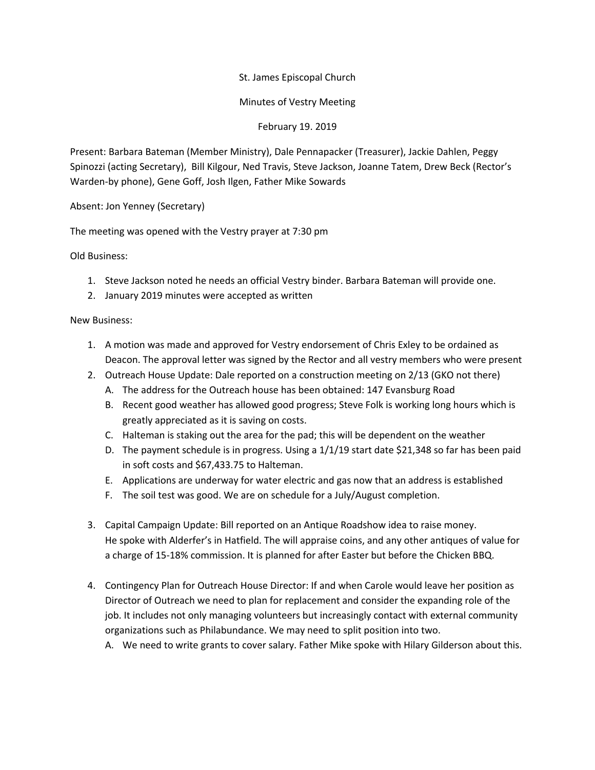St. James Episcopal Church

Minutes of Vestry Meeting

February 19. 2019

Present: Barbara Bateman (Member Ministry), Dale Pennapacker (Treasurer), Jackie Dahlen, Peggy Spinozzi (acting Secretary), Bill Kilgour, Ned Travis, Steve Jackson, Joanne Tatem, Drew Beck (Rector's Warden-by phone), Gene Goff, Josh Ilgen, Father Mike Sowards

Absent: Jon Yenney (Secretary)

The meeting was opened with the Vestry prayer at 7:30 pm

Old Business:

- 1. Steve Jackson noted he needs an official Vestry binder. Barbara Bateman will provide one.
- 2. January 2019 minutes were accepted as written

## New Business:

- 1. A motion was made and approved for Vestry endorsement of Chris Exley to be ordained as Deacon. The approval letter was signed by the Rector and all vestry members who were present
- 2. Outreach House Update: Dale reported on a construction meeting on 2/13 (GKO not there)
	- A. The address for the Outreach house has been obtained: 147 Evansburg Road
	- B. Recent good weather has allowed good progress; Steve Folk is working long hours which is greatly appreciated as it is saving on costs.
	- C. Halteman is staking out the area for the pad; this will be dependent on the weather
	- D. The payment schedule is in progress. Using a 1/1/19 start date \$21,348 so far has been paid in soft costs and \$67,433.75 to Halteman.
	- E. Applications are underway for water electric and gas now that an address is established
	- F. The soil test was good. We are on schedule for a July/August completion.
- 3. Capital Campaign Update: Bill reported on an Antique Roadshow idea to raise money. He spoke with Alderfer's in Hatfield. The will appraise coins, and any other antiques of value for a charge of 15-18% commission. It is planned for after Easter but before the Chicken BBQ.
- 4. Contingency Plan for Outreach House Director: If and when Carole would leave her position as Director of Outreach we need to plan for replacement and consider the expanding role of the job. It includes not only managing volunteers but increasingly contact with external community organizations such as Philabundance. We may need to split position into two.
	- A. We need to write grants to cover salary. Father Mike spoke with Hilary Gilderson about this.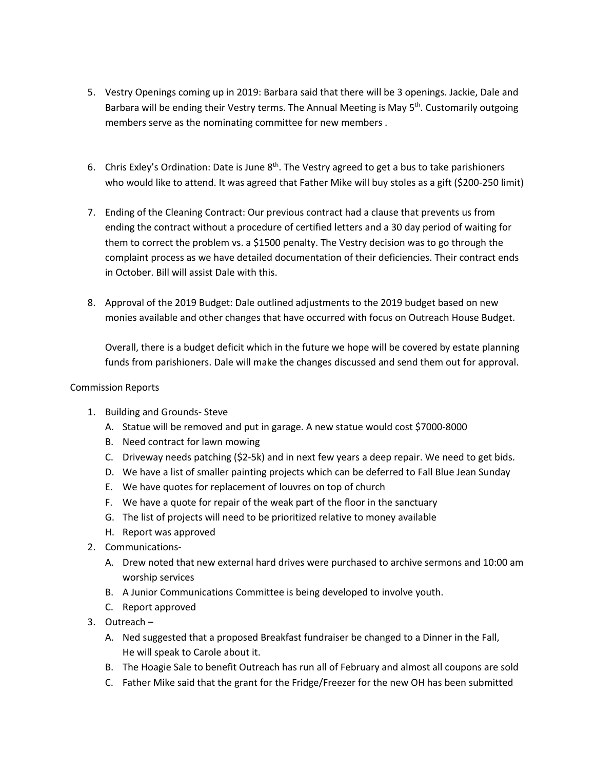- 5. Vestry Openings coming up in 2019: Barbara said that there will be 3 openings. Jackie, Dale and Barbara will be ending their Vestry terms. The Annual Meeting is May 5<sup>th</sup>. Customarily outgoing members serve as the nominating committee for new members .
- 6. Chris Exley's Ordination: Date is June  $8<sup>th</sup>$ . The Vestry agreed to get a bus to take parishioners who would like to attend. It was agreed that Father Mike will buy stoles as a gift (\$200-250 limit)
- 7. Ending of the Cleaning Contract: Our previous contract had a clause that prevents us from ending the contract without a procedure of certified letters and a 30 day period of waiting for them to correct the problem vs. a \$1500 penalty. The Vestry decision was to go through the complaint process as we have detailed documentation of their deficiencies. Their contract ends in October. Bill will assist Dale with this.
- 8. Approval of the 2019 Budget: Dale outlined adjustments to the 2019 budget based on new monies available and other changes that have occurred with focus on Outreach House Budget.

Overall, there is a budget deficit which in the future we hope will be covered by estate planning funds from parishioners. Dale will make the changes discussed and send them out for approval.

## Commission Reports

- 1. Building and Grounds- Steve
	- A. Statue will be removed and put in garage. A new statue would cost \$7000-8000
	- B. Need contract for lawn mowing
	- C. Driveway needs patching (\$2-5k) and in next few years a deep repair. We need to get bids.
	- D. We have a list of smaller painting projects which can be deferred to Fall Blue Jean Sunday
	- E. We have quotes for replacement of louvres on top of church
	- F. We have a quote for repair of the weak part of the floor in the sanctuary
	- G. The list of projects will need to be prioritized relative to money available
	- H. Report was approved
- 2. Communications-
	- A. Drew noted that new external hard drives were purchased to archive sermons and 10:00 am worship services
	- B. A Junior Communications Committee is being developed to involve youth.
	- C. Report approved
- 3. Outreach
	- A. Ned suggested that a proposed Breakfast fundraiser be changed to a Dinner in the Fall, He will speak to Carole about it.
	- B. The Hoagie Sale to benefit Outreach has run all of February and almost all coupons are sold
	- C. Father Mike said that the grant for the Fridge/Freezer for the new OH has been submitted